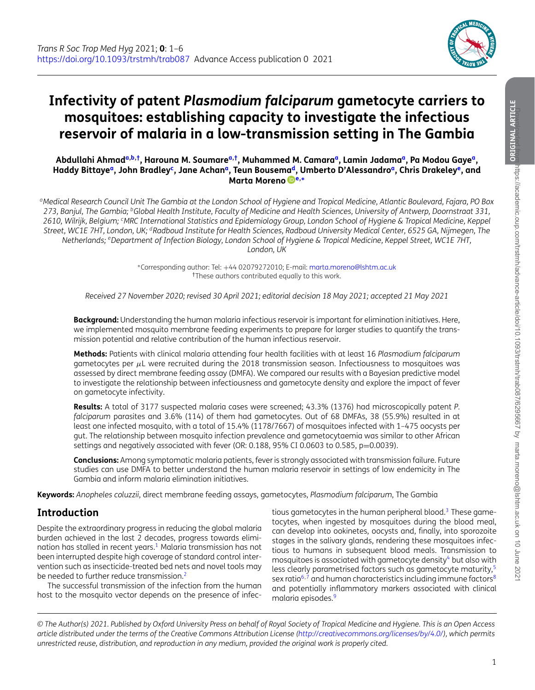

# **Infectivity of patent** *Plasmodium falciparum* **gametocyte carriers to mosquitoes: establishing capacity to investigate the infectious reservoir of malaria in a low-transmission setting in The Gambia**

Abdullahi Ahmad<sup>a,b,†</sup>, Harouna M. Soumare<sup>a,†</sup>, Muhammed M. Camara<sup>a</sup>, Lamin Ja[da](#page-0-0)ma<sup>a</sup>, Pa Modou Gaye<sup>a</sup>, **Haddy Bittaye[a,](#page-0-0) John Bradle[yc,](#page-0-3) Jane Acha[na,](#page-0-0) Teun Bousem[ad,](#page-0-4) Umberto D'Alessandr[oa,](#page-0-0) Chris Drakele[ye,](#page-0-5) and Marta Moreno [e,](#page-0-5)[∗](#page-0-6)**

<span id="page-0-0"></span>*aMedical Research Council Unit The Gambia at the London School of Hygiene and Tropical Medicine, Atlantic Boulevard, Fajara, PO Box 273, Banjul, The Gambia; bGlobal Health Institute, Faculty of Medicine and Health Sciences, University of Antwerp, Doornstraat 331, 2610, Wilrijk, Belgium; cMRC International Statistics and Epidemiology Group, London School of Hygiene & Tropical Medicine, Keppel Street, WC1E 7HT, London, UK; dRadboud Institute for Health Sciences, Radboud University Medical Center, 6525 GA, Nijmegen, The Netherlands; eDepartment of Infection Biology, London School of Hygiene & Tropical Medicine, Keppel Street, WC1E 7HT, London, UK*

> <span id="page-0-6"></span><span id="page-0-5"></span><span id="page-0-4"></span><span id="page-0-3"></span><span id="page-0-2"></span><span id="page-0-1"></span><sup>∗</sup>Corresponding author: Tel: +44 02079272010; E-mail: [marta.moreno@lshtm.ac.uk](mailto:marta.moreno@lshtm.ac.uk) †These authors contributed equally to this work.

*Received 27 November 2020; revised 30 April 2021; editorial decision 18 May 2021; accepted 21 May 2021*

**Background:** Understanding the human malaria infectious reservoir is important for elimination initiatives. Here, we implemented mosquito membrane feeding experiments to prepare for larger studies to quantify the transmission potential and relative contribution of the human infectious reservoir.

**Methods:** Patients with clinical malaria attending four health facilities with at least 16 *Plasmodium falciparum* gametocytes per  $\mu$ L were recruited during the 2018 transmission season. Infectiousness to mosquitoes was assessed by direct membrane feeding assay (DMFA). We compared our results with a Bayesian predictive model to investigate the relationship between infectiousness and gametocyte density and explore the impact of fever on gametocyte infectivity.

**Results:** A total of 3177 suspected malaria cases were screened; 43.3% (1376) had microscopically patent *P. falciparum* parasites and 3.6% (114) of them had gametocytes. Out of 68 DMFAs, 38 (55.9%) resulted in at least one infected mosquito, with a total of 15.4% (1178/7667) of mosquitoes infected with 1–475 oocysts per gut. The relationship between mosquito infection prevalence and gametocytaemia was similar to other African settings and negatively associated with fever (OR: 0.188, 95% CI 0.0603 to 0.585, p=0.0039).

**Conclusions:** Among symptomatic malaria patients, fever is strongly associated with transmission failure. Future studies can use DMFA to better understand the human malaria reservoir in settings of low endemicity in The Gambia and inform malaria elimination initiatives.

**Keywords:** *Anopheles coluzzii*, direct membrane feeding assays, gametocytes, *Plasmodium falciparum*, The Gambia

# **Introduction**

Despite the extraordinary progress in reducing the global malaria burden achieved in the last 2 decades, progress towards elimination has stalled in recent years.<sup>1</sup> Malaria transmission has not been interrupted despite high coverage of standard control intervention such as insecticide-treated bed nets and novel tools may be needed to further reduce transmission.<sup>2</sup>

The successful transmission of the infection from the human host to the mosquito vector depends on the presence of infec-

tious gametocytes in the human peripheral blood.<sup>3</sup> These gametocytes, when ingested by mosquitoes during the blood meal, can develop into ookinetes, oocysts and, finally, into sporozoite stages in the salivary glands, rendering these mosquitoes infectious to humans in subsequent blood meals. Transmission to mosquitoes is associated with gametocyte density<sup>[4](#page-5-2)</sup> but also with less clearly parametrised factors such as gametocyte maturity,<sup>[5](#page-5-3)</sup> sex ratio<sup>[6,](#page-5-4)[7](#page-5-5)</sup> and human characteristics including immune factors<sup>8</sup> and potentially inflammatory markers associated with clinical malaria episodes.<sup>[9](#page-5-7)</sup>

*© The Author(s) 2021. Published by Oxford University Press on behalf of Royal Society of Tropical Medicine and Hygiene. This is an Open Access article distributed under the terms of the Creative Commons Attribution License [\(http://creativecommons.org/licenses/by/4.0/\)](http://creativecommons.org/licenses/by/4.0/), which permits unrestricted reuse, distribution, and reproduction in any medium, provided the original work is properly cited.*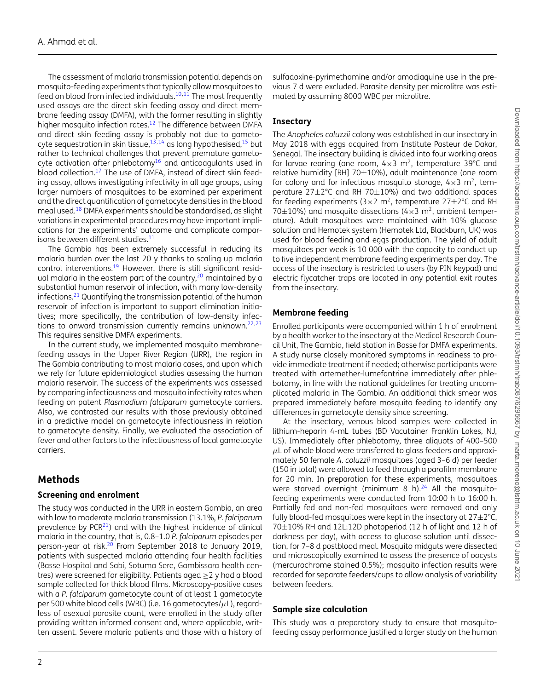The assessment of malaria transmission potential depends on mosquito-feeding experiments that typically allow mosquitoes to feed on blood from infected individuals.<sup>10[,11](#page-5-9)</sup> The most frequently used assays are the direct skin feeding assay and direct membrane feeding assay (DMFA), with the former resulting in slightly higher mosquito infection rates.<sup>12</sup> The difference between DMFA and direct skin feeding assay is probably not due to gametocyte sequestration in skin tissue,  $13,14$  $13,14$  as long hypothesised,  $15$  but rather to technical challenges that prevent premature gametocyte activation after phlebotom $v^{16}$  $v^{16}$  $v^{16}$  and anticoagulants used in blood collection.<sup>17</sup> The use of DMFA, instead of direct skin feeding assay, allows investigating infectivity in all age groups, using larger numbers of mosquitoes to be examined per experiment and the direct quantification of gametocyte densities in the blood meal used[.18](#page-5-16) DMFA experiments should be standardised, as slight variations in experimental procedures may have important implications for the experiments' outcome and complicate comparisons between different studies.<sup>11</sup>

The Gambia has been extremely successful in reducing its malaria burden over the last 20 y thanks to scaling up malaria control interventions.<sup>19</sup> However, there is still significant residual malaria in the eastern part of the country,  $20$  maintained by a substantial human reservoir of infection, with many low-density infections[.21](#page-5-19) Quantifying the transmission potential of the human reservoir of infection is important to support elimination initiatives; more specifically, the contribution of low-density infec-tions to onward transmission currently remains unknown.<sup>22,[23](#page-5-21)</sup> This requires sensitive DMFA experiments.

In the current study, we implemented mosquito membranefeeding assays in the Upper River Region (URR), the region in The Gambia contributing to most malaria cases, and upon which we rely for future epidemiological studies assessing the human malaria reservoir. The success of the experiments was assessed by comparing infectiousness and mosquito infectivity rates when feeding on patent *Plasmodium falciparum* gametocyte carriers. Also, we contrasted our results with those previously obtained in a predictive model on gametocyte infectiousness in relation to gametocyte density. Finally, we evaluated the association of fever and other factors to the infectiousness of local gametocyte carriers.

# **Methods**

#### **Screening and enrolment**

The study was conducted in the URR in eastern Gambia, an area with low to moderate malaria transmission (13.1%, *P. falciparum* prevalence by  $PCR<sup>21</sup>$ ) and with the highest incidence of clinical malaria in the country, that is, 0.8–1.0 *P. falciparum* episodes per person-year at risk.<sup>20</sup> From September 2018 to January 2019, patients with suspected malaria attending four health facilities (Basse Hospital and Sabi, Sotuma Sere, Gambissara health centres) were screened for eligibility. Patients aged  $\geq$  2 y had a blood sample collected for thick blood films. Microscopy-positive cases with a *P. falciparum* gametocyte count of at least 1 gametocyte per 500 white blood cells (WBC) (i.e. 16 gametocytes/ $\mu$ L), regardless of asexual parasite count, were enrolled in the study after providing written informed consent and, where applicable, written assent. Severe malaria patients and those with a history of sulfadoxine-pyrimethamine and/or amodiaquine use in the previous 7 d were excluded. Parasite density per microlitre was estimated by assuming 8000 WBC per microlitre.

# **Insectary**

The *Anopheles coluzzii* colony was established in our insectary in May 2018 with eggs acquired from Institute Pasteur de Dakar, Senegal. The insectary building is divided into four working areas for larvae rearing (one room,  $4 \times 3$  m<sup>2</sup>, temperature 39°C and relative humidity [RH]  $70\pm10\%$ ), adult maintenance (one room for colony and for infectious mosquito storage,  $4 \times 3$  m<sup>2</sup>, temperature 27±2°C and RH 70±10%) and two additional spaces for feeding experiments ( $3 \times 2$  m<sup>2</sup>, temperature  $27 \pm 2^{\circ}$ C and RH 70 $\pm$ 10%) and mosquito dissections (4 $\times$ 3 m<sup>2</sup>, ambient temperature). Adult mosquitoes were maintained with 10% glucose solution and Hemotek system (Hemotek Ltd, Blackburn, UK) was used for blood feeding and eggs production. The yield of adult mosquitoes per week is 10 000 with the capacity to conduct up to five independent membrane feeding experiments per day. The access of the insectary is restricted to users (by PIN keypad) and electric flycatcher traps are located in any potential exit routes from the insectary.

# **Membrane feeding**

Enrolled participants were accompanied within 1 h of enrolment by a health worker to the insectary at the Medical Research Council Unit, The Gambia, field station in Basse for DMFA experiments. A study nurse closely monitored symptoms in readiness to provide immediate treatment if needed; otherwise participants were treated with artemether-lumefantrine immediately after phlebotomy, in line with the national guidelines for treating uncomplicated malaria in The Gambia. An additional thick smear was prepared immediately before mosquito feeding to identify any differences in gametocyte density since screening.

At the insectary, venous blood samples were collected in lithium-heparin 4-mL tubes (BD Vacutainer Franklin Lakes, NJ, US). Immediately after phlebotomy, three aliquots of 400–500  $\mu$ L of whole blood were transferred to glass feeders and approximately 50 female *A. coluzzii* mosquitoes (aged 3–6 d) per feeder (150 in total) were allowed to feed through a parafilm membrane for 20 min. In preparation for these experiments, mosquitoes were starved overnight (minimum 8 h). $24$  All the mosquitofeeding experiments were conducted from 10:00 h to 16:00 h. Partially fed and non-fed mosquitoes were removed and only fully blood-fed mosquitoes were kept in the insectary at  $27 \pm 2^{\circ}$ C, 70±10% RH and 12L:12D photoperiod (12 h of light and 12 h of darkness per day), with access to glucose solution until dissection, for 7–8 d postblood meal. Mosquito midguts were dissected and microscopically examined to assess the presence of oocysts (mercurochrome stained 0.5%); mosquito infection results were recorded for separate feeders/cups to allow analysis of variability between feeders.

# **Sample size calculation**

This study was a preparatory study to ensure that mosquitofeeding assay performance justified a larger study on the human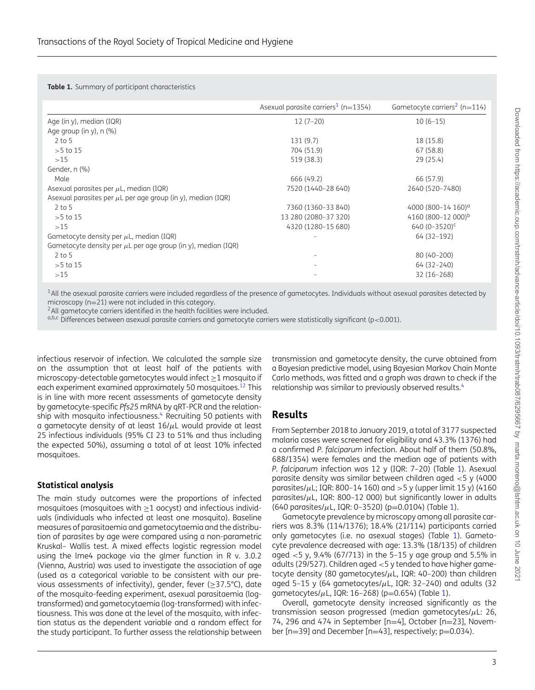<span id="page-2-2"></span>**Table 1.** Summary of participant characteristics

|                                                                   | Asexual parasite carriers <sup>1</sup> ( $n=1354$ ) | Gametocyte carriers <sup>2</sup> (n=114) |
|-------------------------------------------------------------------|-----------------------------------------------------|------------------------------------------|
| Age (in y), median (IQR)                                          | $12(7-20)$                                          | $10(6-15)$                               |
| Age group (in y), n (%)                                           |                                                     |                                          |
| $2$ to 5                                                          | 131(9.7)                                            | 18 (15.8)                                |
| $>5$ to 15                                                        | 704 (51.9)                                          | 67 (58.8)                                |
| >15                                                               | 519 (38.3)                                          | 29 (25.4)                                |
| Gender, n (%)                                                     |                                                     |                                          |
| Male                                                              | 666 (49.2)                                          | 66 (57.9)                                |
| Asexual parasites per $\mu$ L, median (IQR)                       | 7520 (1440-28 640)                                  | 2640 (520-7480)                          |
| Asexual parasites per $\mu$ L per age group (in y), median (IQR)  |                                                     |                                          |
| $2$ to 5                                                          | 7360 (1360-33 840)                                  | 4000 (800-14 160) <sup>a</sup>           |
| $>5$ to 15                                                        | 13 280 (2080-37 320)                                | 4160 (800-12 000) <sup>b</sup>           |
| >15                                                               | 4320 (1280-15 680)                                  | 640 $(0-3520)^c$                         |
| Gametocyte density per $\mu$ L, median (IQR)                      |                                                     | 64 (32-192)                              |
| Gametocyte density per $\mu$ L per age group (in y), median (IQR) |                                                     |                                          |
| $2$ to 5                                                          |                                                     | 80 (40-200)                              |
| $>5$ to 15                                                        |                                                     | 64 (32 - 240)                            |
| >15                                                               |                                                     | $32(16-268)$                             |

<span id="page-2-0"></span><sup>1</sup>All the asexual parasite carriers were included regardless of the presence of gametocytes. Individuals without asexual parasites detected by

microscopy (n=21) were not included in this category.<br><sup>2</sup>All gametocyte carriers identified in the health facilities were included.

<span id="page-2-1"></span> $a,b,c$  Differences between asexual parasite carriers and gametocyte carriers were statistically significant (p<0.001).

infectious reservoir of infection. We calculated the sample size on the assumption that at least half of the patients with microscopy-detectable gametocytes would infect ≥1 mosquito if each experiment examined approximately 50 mosquitoes.<sup>[12](#page-5-10)</sup> This is in line with more recent assessments of gametocyte density by gametocyte-specific *Pfs25* mRNA by qRT-PCR and the relationship with mosquito infectiousness.<sup>4</sup> Recruiting 50 patients with a gametocyte density of at least  $16/\mu$ L would provide at least 25 infectious individuals (95% CI 23 to 51% and thus including the expected 50%), assuming a total of at least 10% infected mosquitoes.

#### **Statistical analysis**

The main study outcomes were the proportions of infected mosquitoes (mosquitoes with ≥1 oocyst) and infectious individuals (individuals who infected at least one mosquito). Baseline measures of parasitaemia and gametocytaemia and the distribution of parasites by age were compared using a non-parametric Kruskal– Wallis test. A mixed effects logistic regression model using the lme4 package via the glmer function in R v. 3.0.2 (Vienna, Austria) was used to investigate the association of age (used as a categorical variable to be consistent with our previous assessments of infectivity), gender, fever (≥37.5°C), date of the mosquito-feeding experiment, asexual parasitaemia (logtransformed) and gametocytaemia (log-transformed) with infectiousness. This was done at the level of the mosquito, with infection status as the dependent variable and a random effect for the study participant. To further assess the relationship between

transmission and gametocyte density, the curve obtained from a Bayesian predictive model, using Bayesian Markov Chain Monte Carlo methods, was fitted and a graph was drawn to check if the relationship was similar to previously observed results.<sup>[4](#page-5-2)</sup>

# **Results**

From September 2018 to January 2019, a total of 3177 suspected malaria cases were screened for eligibility and 43.3% (1376) had a confirmed *P. falciparum* infection. About half of them (50.8%, 688/1354) were females and the median age of patients with *P. falciparum* infection was 12 y (IQR: 7–20) (Table [1\)](#page-2-2). Asexual parasite density was similar between children aged <5 y (4000 parasites/ $\mu$ L; IQR: 800–14 160) and >5 y (upper limit 15 y) (4160 parasites/ $\mu$ L, IQR: 800-12 000) but significantly lower in adults  $(640 \text{ parasites}/\mu L, IQR: 0-3520)$  (p=0.0104) (Table [1\)](#page-2-2).

Gametocyte prevalence by microscopy among all parasite carriers was 8.3% (114/1376); 18.4% (21/114) participants carried only gametocytes (i.e. no asexual stages) (Table [1\)](#page-2-2). Gametocyte prevalence decreased with age: 13.3% (18/135) of children aged <5 y, 9.4% (67/713) in the 5–15 y age group and 5.5% in adults (29/527). Children aged <5 y tended to have higher gametocyte density (80 gametocytes/ $\mu$ L, IQR: 40-200) than children aged 5-15 y (64 gametocytes/ $\mu$ L, IQR: 32-240) and adults (32 qametocytes/ $\mu$ L, IQR: 16–268) (p=0.654) (Table [1\)](#page-2-2).

Overall, gametocyte density increased significantly as the transmission season progressed (median gametocytes/ $\mu$ L: 26, 74, 296 and 474 in September [n=4], October [n=23], November [n=39] and December [n=43], respectively; p=0.034).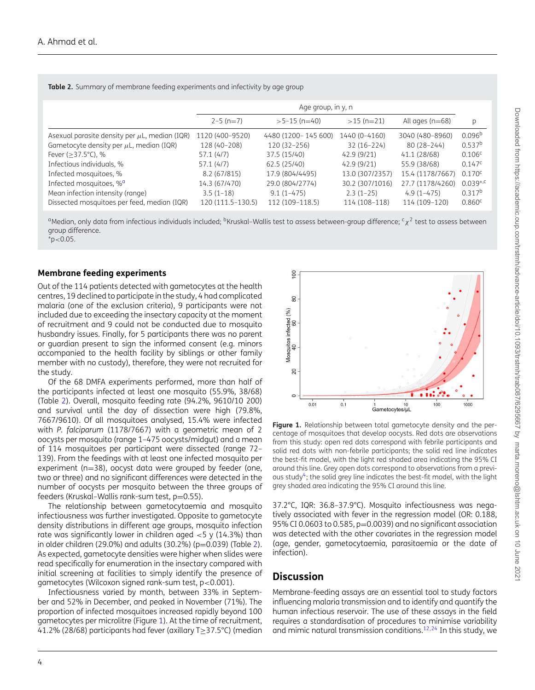<span id="page-3-1"></span>**Table 2.** Summary of membrane feeding experiments and infectivity by age group

|                                                    | Age group, in y, n |                     |                 |                   |                        |
|----------------------------------------------------|--------------------|---------------------|-----------------|-------------------|------------------------|
|                                                    | $2-5$ (n=7)        | $>5-15$ (n=40)      | $>15$ (n=21)    | All ages $(n=68)$ | p                      |
| Asexual parasite density per $\mu$ L, median (IQR) | 1120 (400-9520)    | 4480 (1200-145 600) | 1440 (0-4160)   | 3040 (480-8960)   | 0.096 <sup>b</sup>     |
| Gametocyte density per $\mu$ L, median (IQR)       | 128 (40-208)       | 120 (32-256)        | $32(16-224)$    | $80(28-244)$      | 0.537 <sup>b</sup>     |
| Fever $(>37.5^{\circ}C)$ , %                       | 57.1(4/7)          | 37.5 (15/40)        | 42.9 (9/21)     | 41.1 (28/68)      | 0.106 <sup>c</sup>     |
| Infectious individuals, %                          | 57.1 (4/7)         | 62.5 (25/40)        | 42.9(9/21)      | 55.9 (38/68)      | 0.147c                 |
| Infected mosquitoes, %                             | 8.2 (67/815)       | 17.9 (804/4495)     | 13.0 (307/2357) | 15.4 (1178/7667)  | $0.170^{\circ}$        |
| Infected mosquitoes, % <sup>a</sup>                | 14.3 (67/470)      | 29.0 (804/2774)     | 30.2 (307/1016) | 27.7 (1178/4260)  | $0.039$ <sup>*,c</sup> |
| Mean infection intensity (range)                   | $3.5(1-18)$        | $9.1(1-475)$        | $2.3(1-25)$     | $4.9(1 - 475)$    | $0.317^{b}$            |
| Dissected mosquitoes per feed, median (IQR)        | 120 (111.5-130.5)  | 112 (109-118.5)     | 114 (108-118)   | 114 (109-120)     | 0.860c                 |

<span id="page-3-0"></span><sup>a</sup>Median, only data from infectious individuals included; <sup>b</sup>Kruskal–Wallis test to assess between-group difference;  $c_{\chi}^2$  test to assess between group difference.  $*p$  < 0.05.

#### **Membrane feeding experiments**

Out of the 114 patients detected with gametocytes at the health centres, 19 declined to participate in the study, 4 had complicated malaria (one of the exclusion criteria), 9 participants were not included due to exceeding the insectary capacity at the moment of recruitment and 9 could not be conducted due to mosquito husbandry issues. Finally, for 5 participants there was no parent or guardian present to sign the informed consent (e.g. minors accompanied to the health facility by siblings or other family member with no custody), therefore, they were not recruited for the study.

Of the 68 DMFA experiments performed, more than half of the participants infected at least one mosquito (55.9%, 38/68) (Table [2\)](#page-3-1). Overall, mosquito feeding rate (94.2%, 9610/10 200) and survival until the day of dissection were high (79.8%, 7667/9610). Of all mosquitoes analysed, 15.4% were infected with *P. falciparum* (1178/7667) with a geometric mean of 2 oocysts per mosquito (range 1–475 oocysts/midgut) and a mean of 114 mosquitoes per participant were dissected (range 72– 139). From the feedings with at least one infected mosquito per experiment (n=38), oocyst data were grouped by feeder (one, two or three) and no significant differences were detected in the number of oocysts per mosquito between the three groups of feeders (Kruskal–Wallis rank-sum test,  $p=0.55$ ).

The relationship between gametocytaemia and mosquito infectiousness was further investigated. Opposite to gametocyte density distributions in different age groups, mosquito infection rate was significantly lower in children aged  $<$  5 y (14.3%) than in older children (29.0%) and adults (30.2%) ( $p=0.039$ ) (Table [2\)](#page-3-1). As expected, gametocyte densities were higher when slides were read specifically for enumeration in the insectary compared with initial screening at facilities to simply identify the presence of gametocytes (Wilcoxon signed rank-sum test, p<0.001).

Infectiousness varied by month, between 33% in September and 52% in December, and peaked in November (71%). The proportion of infected mosquitoes increased rapidly beyond 100 gametocytes per microlitre (Figure [1\)](#page-3-2). At the time of recruitment, 41.2% (28/68) participants had fever (axillary T≥37.5°C) (median

<span id="page-3-2"></span>

**Figure 1.** Relationship between total gametocyte density and the percentage of mosquitoes that develop oocysts. Red dots are observations from this study: open red dots correspond with febrile participants and solid red dots with non-febrile participants; the solid red line indicates the best-fit model, with the light red shaded area indicating the 95% CI around this line. Grey open dots correspond to observations from a previous study<sup>4</sup>; the solid grey line indicates the best-fit model, with the light grey shaded area indicating the 95% CI around this line.

37.2°C, IQR: 36.8–37.9°C). Mosquito infectiousness was negatively associated with fever in the regression model (OR: 0.188, 95% CI 0.0603 to 0.585, p=0.0039) and no significant association was detected with the other covariates in the regression model (age, gender, gametocytaemia, parasitaemia or the date of infection).

# **Discussion**

Membrane-feeding assays are an essential tool to study factors influencing malaria transmission and to identify and quantify the human infectious reservoir. The use of these assays in the field requires a standardisation of procedures to minimise variability and mimic natural transmission conditions.<sup>[12,](#page-5-10)[24](#page-5-22)</sup> In this study, we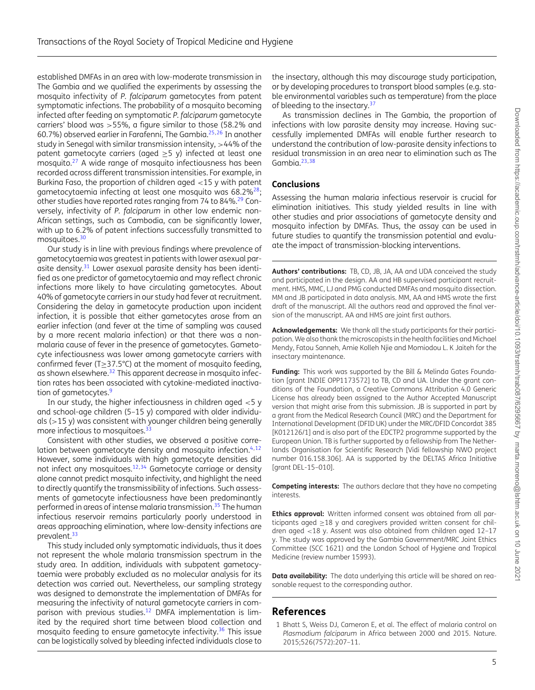established DMFAs in an area with low-moderate transmission in The Gambia and we qualified the experiments by assessing the mosquito infectivity of *P. falciparum* gametocytes from patent symptomatic infections. The probability of a mosquito becoming infected after feeding on symptomatic *P. falciparum* gametocyte carriers' blood was >55%, a figure similar to those (58.2% and 60.7%) observed earlier in Farafenni, The Gambia[.25,](#page-5-23)[26](#page-5-24) In another study in Senegal with similar transmission intensity, >44% of the patent gametocyte carriers (aged  $>5$  y) infected at least one mosquito.<sup>[27](#page-5-25)</sup> A wide range of mosquito infectiousness has been recorded across different transmission intensities. For example, in Burkina Faso, the proportion of children aged <15 y with patent gametocytaemia infecting at least one mosquito was  $68.2\%^{28}$ ; other studies have reported rates ranging from 74 to 84%.<sup>29</sup> Conversely, infectivity of *P. falciparum* in other low endemic non-African settings, such as Cambodia, can be significantly lower, with up to 6.2% of patent infections successfully transmitted to mosquitoes.<sup>30</sup>

Our study is in line with previous findings where prevalence of gametocytaemia was greatest in patients with lower asexual parasite density.<sup>31</sup> Lower asexual parasite density has been identified as one predictor of gametocytaemia and may reflect chronic infections more likely to have circulating gametocytes. About 40% of gametocyte carriers in our study had fever at recruitment. Considering the delay in gametocyte production upon incident infection, it is possible that either gametocytes arose from an earlier infection (and fever at the time of sampling was caused by a more recent malaria infection) or that there was a nonmalaria cause of fever in the presence of gametocytes. Gametocyte infectiousness was lower among gametocyte carriers with confirmed fever (T≥37.5°C) at the moment of mosquito feeding, as shown elsewhere.<sup>32</sup> This apparent decrease in mosquito infection rates has been associated with cytokine-mediated inactivation of gametocytes.<sup>9</sup>

In our study, the higher infectiousness in children aged  $<$  5 y and school-age children (5–15 y) compared with older individuals  $(>15 y)$  was consistent with younger children being generally more infectious to mosquitoes.<sup>33</sup>

Consistent with other studies, we observed a positive correlation between gametocyte density and mosquito infection. $4,12$  $4,12$ However, some individuals with high gametocyte densities did not infect any mosquitoes.<sup>12,[34](#page-5-32)</sup> Gametocyte carriage or density alone cannot predict mosquito infectivity, and highlight the need to directly quantify the transmissibility of infections. Such assessments of gametocyte infectiousness have been predominantly performed in areas of intense malaria transmission.<sup>35</sup> The human infectious reservoir remains particularly poorly understood in areas approaching elimination, where low-density infections are prevalent.<sup>33</sup>

This study included only symptomatic individuals, thus it does not represent the whole malaria transmission spectrum in the study area. In addition, individuals with subpatent gametocytaemia were probably excluded as no molecular analysis for its detection was carried out. Nevertheless, our sampling strategy was designed to demonstrate the implementation of DMFAs for measuring the infectivity of natural gametocyte carriers in comparison with previous studies.<sup>12</sup> DMFA implementation is limited by the required short time between blood collection and mosquito feeding to ensure gametocyte infectivity.<sup>36</sup> This issue can be logistically solved by bleeding infected individuals close to

the insectary, although this may discourage study participation, or by developing procedures to transport blood samples (e.g. stable environmental variables such as temperature) from the place of bleeding to the insectary.<sup>[37](#page-5-35)</sup>

As transmission declines in The Gambia, the proportion of infections with low parasite density may increase. Having successfully implemented DMFAs will enable further research to understand the contribution of low-parasite density infections to residual transmission in an area near to elimination such as The Gambia. $23,38$  $23,38$ 

#### **Conclusions**

Assessing the human malaria infectious reservoir is crucial for elimination initiatives. This study yielded results in line with other studies and prior associations of gametocyte density and mosquito infection by DMFAs. Thus, the assay can be used in future studies to quantify the transmission potential and evaluate the impact of transmission-blocking interventions.

**Authors' contributions:** TB, CD, JB, JA, AA and UDA conceived the study and participated in the design. AA and HB supervised participant recruitment. HMS, MMC, LJ and PMG conducted DMFAs and mosquito dissection. MM and JB participated in data analysis. MM, AA and HMS wrote the first draft of the manuscript. All the authors read and approved the final version of the manuscript. AA and HMS are joint first authors.

**Acknowledgements:** We thank all the study participants for their participation. We also thank the microscopists in the health facilities and Michael Mendy, Fatou Sanneh, Amie Kolleh Njie and Momiodou L. K Jaiteh for the insectary maintenance.

**Funding:** This work was supported by the Bill & Melinda Gates Foundation [grant INDIE OPP1173572] to TB, CD and UA. Under the grant conditions of the Foundation, a Creative Commons Attribution 4.0 Generic License has already been assigned to the Author Accepted Manuscript version that might arise from this submission. JB is supported in part by a grant from the Medical Research Council (MRC) and the Department for International Development (DFID UK) under the MRC/DFID Concordat 385 [K012126/1] and is also part of the EDCTP2 programme supported by the European Union. TB is further supported by a fellowship from The Netherlands Organisation for Scientific Research [Vidi fellowship NWO project number 016.158.306]. AA is supported by the DELTAS Africa Initiative [grant DEL-15–010].

**Competing interests:** The authors declare that they have no competing interests.

**Ethics approval:** Written informed consent was obtained from all participants aged ≥18 y and caregivers provided written consent for children aged <18 y. Assent was also obtained from children aged 12–17 y. The study was approved by the Gambia Government/MRC Joint Ethics Committee (SCC 1621) and the London School of Hygiene and Tropical Medicine (review number 15993).

**Data availability:** The data underlying this article will be shared on reasonable request to the corresponding author.

# **References**

<span id="page-4-0"></span>1 Bhatt S, Weiss DJ, Cameron E, et al. The effect of malaria control on *Plasmodium falciparum* in Africa between 2000 and 2015. Nature. 2015;526(7572):207–11.